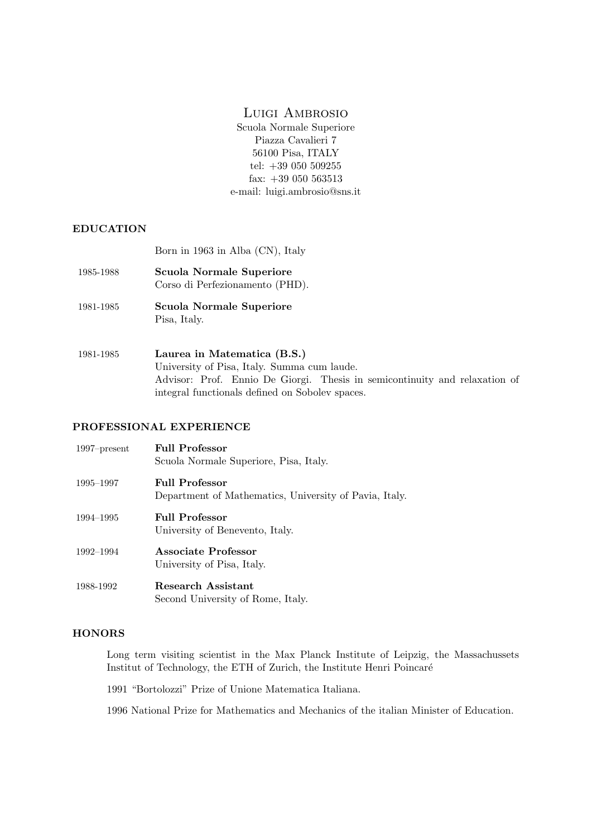## Luigi Ambrosio

Scuola Normale Superiore Piazza Cavalieri 7 56100 Pisa, ITALY tel: +39 050 509255 fax: +39 050 563513 e-mail: luigi.ambrosio@sns.it

## EDUCATION

Born in 1963 in Alba (CN), Italy

| 1985-1988 | <b>Scuola Normale Superiore</b><br>Corso di Perfezionamento (PHD).                                                                                       |
|-----------|----------------------------------------------------------------------------------------------------------------------------------------------------------|
| 1981-1985 | <b>Scuola Normale Superiore</b><br>Pisa, Italy.                                                                                                          |
| 1981-1985 | Laurea in Matematica (B.S.)<br>University of Pisa, Italy. Summa cum laude.<br>Advisor: Prof. Ennio De Giorgi. Thesis in semicontinuity and relaxation of |

## PROFESSIONAL EXPERIENCE

| $1997$ -present | <b>Full Professor</b><br>Scuola Normale Superiore, Pisa, Italy.                 |
|-----------------|---------------------------------------------------------------------------------|
| 1995–1997       | <b>Full Professor</b><br>Department of Mathematics, University of Pavia, Italy. |
| 1994–1995       | <b>Full Professor</b><br>University of Benevento, Italy.                        |
| 1992–1994       | Associate Professor<br>University of Pisa, Italy.                               |
| 1988-1992       | Research Assistant                                                              |

integral functionals defined on Sobolev spaces.

## **HONORS**

Long term visiting scientist in the Max Planck Institute of Leipzig, the Massachussets Institut of Technology, the ETH of Zurich, the Institute Henri Poincar´e

1991 "Bortolozzi" Prize of Unione Matematica Italiana.

Second University of Rome, Italy.

1996 National Prize for Mathematics and Mechanics of the italian Minister of Education.